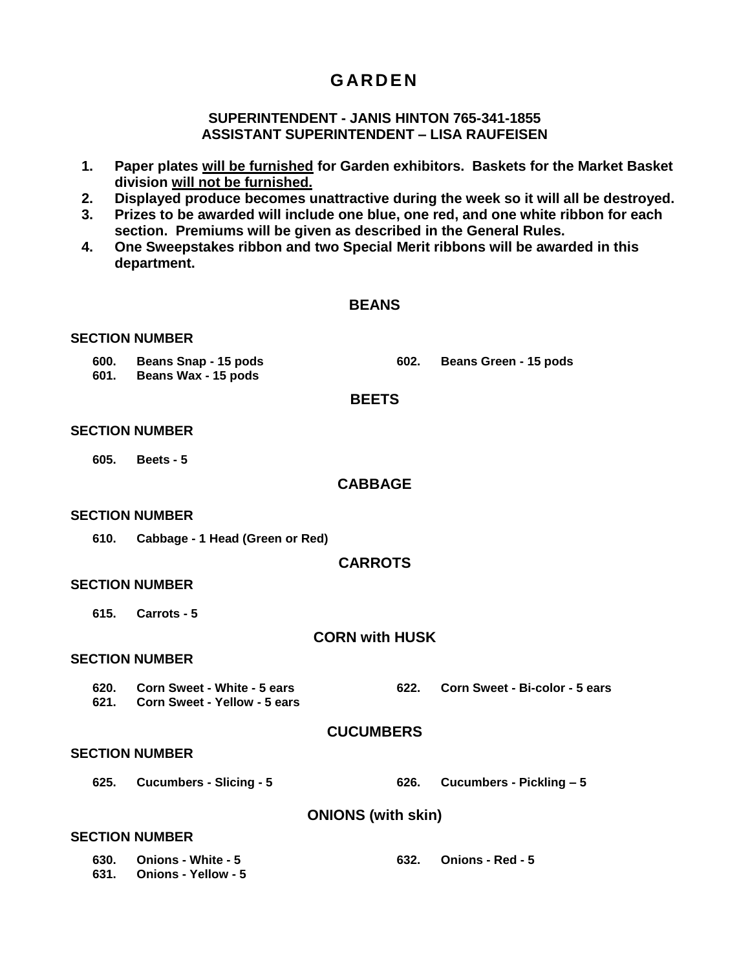# **G AR D E N**

## **SUPERINTENDENT - JANIS HINTON 765-341-1855 ASSISTANT SUPERINTENDENT – LISA RAUFEISEN**

- **1. Paper plates will be furnished for Garden exhibitors. Baskets for the Market Basket division will not be furnished.**
- **2. Displayed produce becomes unattractive during the week so it will all be destroyed.**
- **3. Prizes to be awarded will include one blue, one red, and one white ribbon for each section. Premiums will be given as described in the General Rules.**
- **4. One Sweepstakes ribbon and two Special Merit ribbons will be awarded in this department.**

### **BEANS**

#### **SECTION NUMBER**

- **600. Beans Snap - 15 pods 602. Beans Green - 15 pods**
- **601. Beans Wax - 15 pods**

#### **BEETS**

#### **SECTION NUMBER**

**605. Beets - 5**

#### **CABBAGE**

#### **SECTION NUMBER**

**610. Cabbage - 1 Head (Green or Red)**

#### **CARROTS**

#### **SECTION NUMBER**

**615. Carrots - 5**

#### **CORN with HUSK**

#### **SECTION NUMBER**

**620. Corn Sweet - White - 5 ears 621. Corn Sweet - Yellow - 5 ears 622. Corn Sweet - Bi-color - 5 ears**

#### **CUCUMBERS**

#### **SECTION NUMBER**

**625. Cucumbers - Slicing - 5 626. Cucumbers - Pickling – 5**

**ONIONS (with skin)**

## **SECTION NUMBER**

| 630. Onions - White - 5  | <b>Onions - Red - 5</b> |
|--------------------------|-------------------------|
| 631. Onions - Yellow - 5 |                         |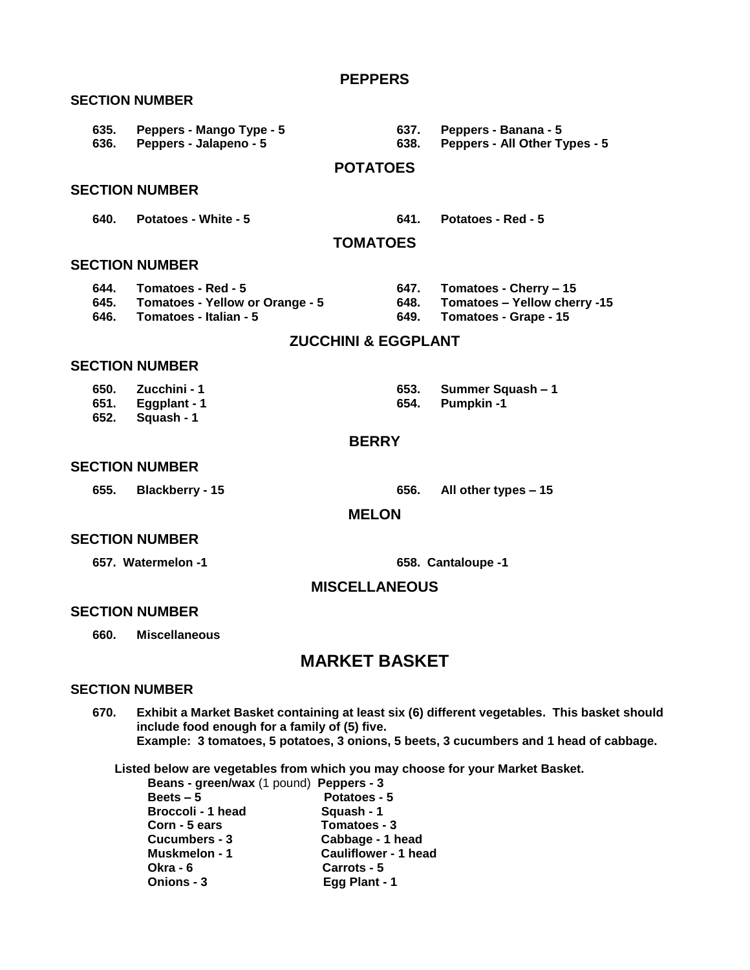| 635.<br>636. | Peppers - Mango Type - 5<br>Peppers - Jalapeno - 5                                             | 637.<br>638.                   | Peppers - Banana - 5<br>Peppers - All Other Types - 5                                |
|--------------|------------------------------------------------------------------------------------------------|--------------------------------|--------------------------------------------------------------------------------------|
|              |                                                                                                | <b>POTATOES</b>                |                                                                                      |
|              | <b>SECTION NUMBER</b>                                                                          |                                |                                                                                      |
| 640.         | Potatoes - White - 5                                                                           | 641.                           | Potatoes - Red - 5                                                                   |
|              |                                                                                                | <b>TOMATOES</b>                |                                                                                      |
|              | <b>SECTION NUMBER</b>                                                                          |                                |                                                                                      |
|              | 644. Tomatoes - Red - 5<br>645. Tomatoes - Yellow or Orange - 5<br>646. Tomatoes - Italian - 5 | 648.<br>649.                   | 647. Tomatoes - Cherry – 15<br>Tomatoes - Yellow cherry -15<br>Tomatoes - Grape - 15 |
|              |                                                                                                | <b>ZUCCHINI &amp; EGGPLANT</b> |                                                                                      |
|              | <b>SECTION NUMBER</b>                                                                          |                                |                                                                                      |
| 651.         | 650. Zucchini - 1<br>Eggplant - 1                                                              | 653.<br>654.                   | Summer Squash - 1<br><b>Pumpkin-1</b>                                                |

**PEPPERS** 

- **651. Eggplant - 1**
- **652. Squash - 1**

# **BERRY**

#### **SECTION NUMBER**

**SECTION NUMBER**

**655. Blackberry - 15 656. All other types – 15**

## **MELON**

### **SECTION NUMBER**

**657. Watermelon -1 658. Cantaloupe -1**

## **MISCELLANEOUS**

## **SECTION NUMBER**

**660. Miscellaneous**

# **MARKET BASKET**

#### **SECTION NUMBER**

**670. Exhibit a Market Basket containing at least six (6) different vegetables. This basket should include food enough for a family of (5) five. Example: 3 tomatoes, 5 potatoes, 3 onions, 5 beets, 3 cucumbers and 1 head of cabbage.**

**Listed below are vegetables from which you may choose for your Market Basket.**

| Beans - green/wax (1 pound) Peppers - 3 |                             |
|-----------------------------------------|-----------------------------|
| Beets $-5$                              | Potatoes - 5                |
| Broccoli - 1 head                       | Squash - 1                  |
| Corn - 5 ears                           | Tomatoes - 3                |
| Cucumbers - 3                           | Cabbage - 1 head            |
| Muskmelon - 1                           | <b>Cauliflower - 1 head</b> |
| <b>Okra - 6</b>                         | Carrots - 5                 |
| Onions - 3                              | Egg Plant - 1               |
|                                         |                             |